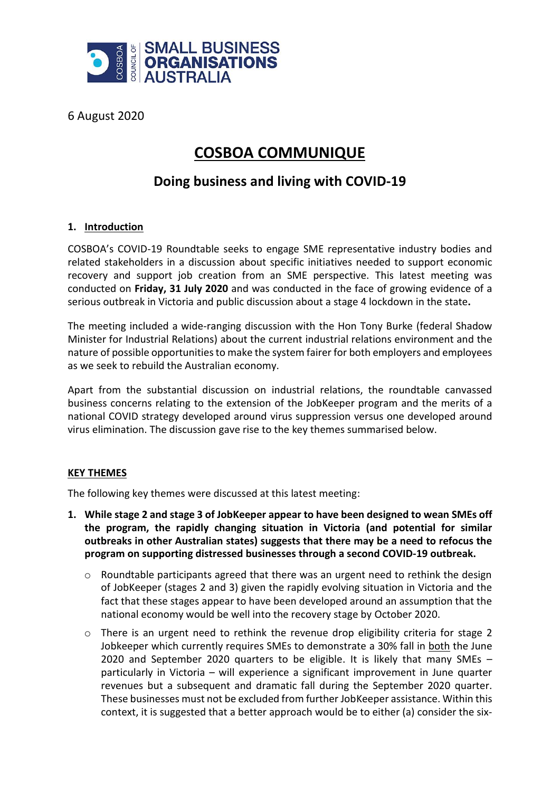

6 August 2020

# **COSBOA COMMUNIQUE**

# **Doing business and living with COVID-19**

## **1. Introduction**

COSBOA's COVID-19 Roundtable seeks to engage SME representative industry bodies and related stakeholders in a discussion about specific initiatives needed to support economic recovery and support job creation from an SME perspective. This latest meeting was conducted on **Friday, 31 July 2020** and was conducted in the face of growing evidence of a serious outbreak in Victoria and public discussion about a stage 4 lockdown in the state**.** 

The meeting included a wide-ranging discussion with the Hon Tony Burke (federal Shadow Minister for Industrial Relations) about the current industrial relations environment and the nature of possible opportunities to make the system fairer for both employers and employees as we seek to rebuild the Australian economy.

Apart from the substantial discussion on industrial relations, the roundtable canvassed business concerns relating to the extension of the JobKeeper program and the merits of a national COVID strategy developed around virus suppression versus one developed around virus elimination. The discussion gave rise to the key themes summarised below.

## **KEY THEMES**

The following key themes were discussed at this latest meeting:

- **1. While stage 2 and stage 3 of JobKeeper appear to have been designed to wean SMEs off the program, the rapidly changing situation in Victoria (and potential for similar outbreaks in other Australian states) suggests that there may be a need to refocus the program on supporting distressed businesses through a second COVID-19 outbreak.**
	- o Roundtable participants agreed that there was an urgent need to rethink the design of JobKeeper (stages 2 and 3) given the rapidly evolving situation in Victoria and the fact that these stages appear to have been developed around an assumption that the national economy would be well into the recovery stage by October 2020.
	- $\circ$  There is an urgent need to rethink the revenue drop eligibility criteria for stage 2 Jobkeeper which currently requires SMEs to demonstrate a 30% fall in both the June 2020 and September 2020 quarters to be eligible. It is likely that many SMEs – particularly in Victoria – will experience a significant improvement in June quarter revenues but a subsequent and dramatic fall during the September 2020 quarter. These businesses must not be excluded from further JobKeeper assistance. Within this context, it is suggested that a better approach would be to either (a) consider the six-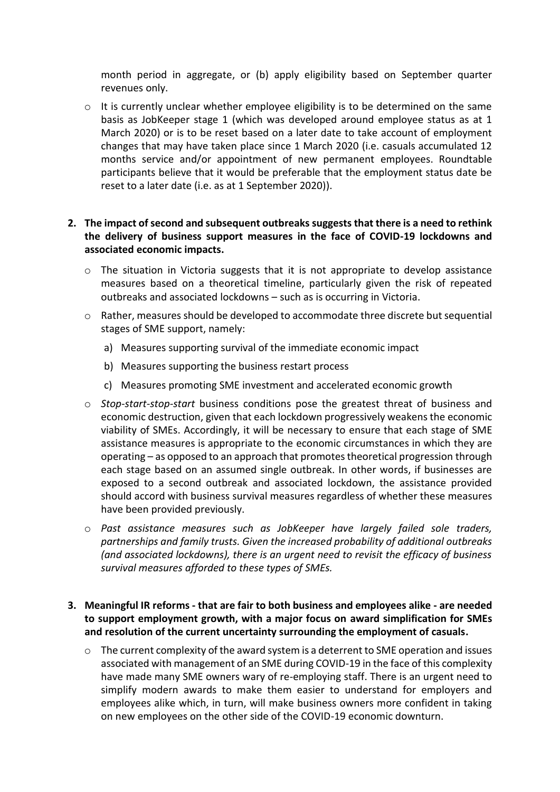month period in aggregate, or (b) apply eligibility based on September quarter revenues only.

 $\circ$  It is currently unclear whether employee eligibility is to be determined on the same basis as JobKeeper stage 1 (which was developed around employee status as at 1 March 2020) or is to be reset based on a later date to take account of employment changes that may have taken place since 1 March 2020 (i.e. casuals accumulated 12 months service and/or appointment of new permanent employees. Roundtable participants believe that it would be preferable that the employment status date be reset to a later date (i.e. as at 1 September 2020)).

#### **2. The impact of second and subsequent outbreaks suggests that there is a need to rethink the delivery of business support measures in the face of COVID-19 lockdowns and associated economic impacts.**

- $\circ$  The situation in Victoria suggests that it is not appropriate to develop assistance measures based on a theoretical timeline, particularly given the risk of repeated outbreaks and associated lockdowns – such as is occurring in Victoria.
- $\circ$  Rather, measures should be developed to accommodate three discrete but sequential stages of SME support, namely:
	- a) Measures supporting survival of the immediate economic impact
	- b) Measures supporting the business restart process
	- c) Measures promoting SME investment and accelerated economic growth
- o *Stop-start-stop-start* business conditions pose the greatest threat of business and economic destruction, given that each lockdown progressively weakens the economic viability of SMEs. Accordingly, it will be necessary to ensure that each stage of SME assistance measures is appropriate to the economic circumstances in which they are operating – as opposed to an approach that promotes theoretical progression through each stage based on an assumed single outbreak. In other words, if businesses are exposed to a second outbreak and associated lockdown, the assistance provided should accord with business survival measures regardless of whether these measures have been provided previously.
- o *Past assistance measures such as JobKeeper have largely failed sole traders, partnerships and family trusts. Given the increased probability of additional outbreaks (and associated lockdowns), there is an urgent need to revisit the efficacy of business survival measures afforded to these types of SMEs.*

#### **3. Meaningful IR reforms - that are fair to both business and employees alike - are needed to support employment growth, with a major focus on award simplification for SMEs and resolution of the current uncertainty surrounding the employment of casuals.**

o The current complexity of the award system is a deterrent to SME operation and issues associated with management of an SME during COVID-19 in the face of this complexity have made many SME owners wary of re-employing staff. There is an urgent need to simplify modern awards to make them easier to understand for employers and employees alike which, in turn, will make business owners more confident in taking on new employees on the other side of the COVID-19 economic downturn.